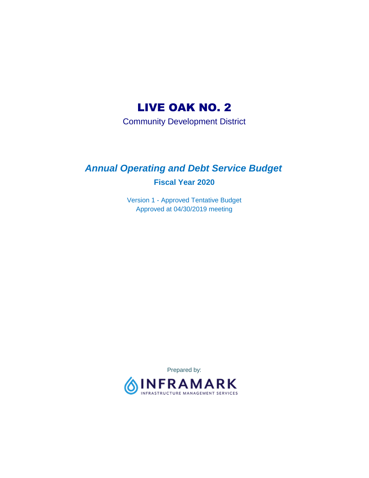# LIVE OAK NO. 2

Community Development District

# *Annual Operating and Debt Service Budget*  **Fiscal Year 2020**

Version 1 - Approved Tentative Budget Approved at 04/30/2019 meeting

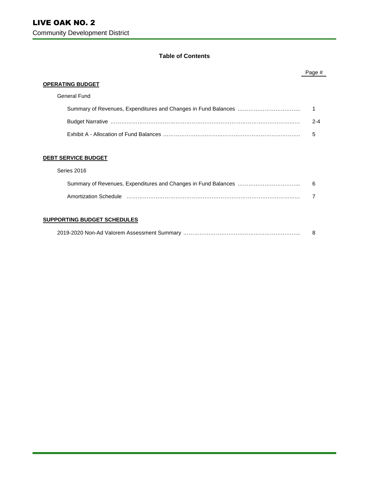#### **Table of Contents**

|                            | Page #  |
|----------------------------|---------|
| <b>OPERATING BUDGET</b>    |         |
| General Fund               |         |
|                            |         |
|                            | $2 - 4$ |
|                            | 5       |
|                            |         |
| <b>DEBT SERVICE BUDGET</b> |         |
| Series 2016                |         |
|                            | 6       |
|                            |         |

#### **SUPPORTING BUDGET SCHEDULES**

|--|--|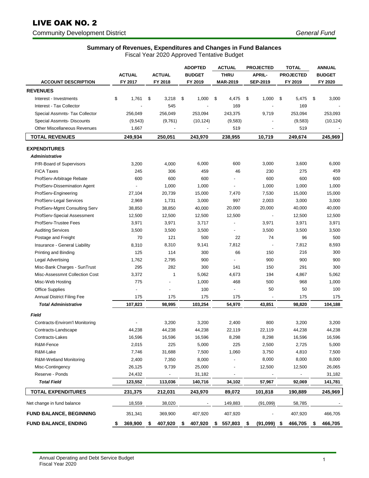# LIVE OAK NO. 2

Community Development District *General Fund* 

## **Summary of Revenues, Expenditures and Changes in Fund Balances**

|  | Fiscal Year 2020 Approved Tentative Budget |
|--|--------------------------------------------|

|                                     | <b>ACTUAL</b>            | <b>ACTUAL</b> |                          | <b>ADOPTED</b><br><b>BUDGET</b> | <b>ACTUAL</b><br><b>THRU</b> |     | <b>PROJECTED</b><br><b>APRIL-</b> | <b>TOTAL</b><br><b>PROJECTED</b> | <b>ANNUAL</b><br><b>BUDGET</b> |  |
|-------------------------------------|--------------------------|---------------|--------------------------|---------------------------------|------------------------------|-----|-----------------------------------|----------------------------------|--------------------------------|--|
| <b>ACCOUNT DESCRIPTION</b>          | FY 2017                  | FY 2018       |                          | FY 2019                         | <b>MAR-2019</b>              |     | <b>SEP-2019</b>                   | FY 2019                          | FY 2020                        |  |
| <b>REVENUES</b>                     |                          |               |                          |                                 |                              |     |                                   |                                  |                                |  |
| Interest - Investments              | \$<br>1,761              | \$            | 3,218<br>\$              | 1,000                           | \$<br>4,475                  |     | \$<br>1,000                       | \$<br>5,475                      | \$<br>3,000                    |  |
| Interest - Tax Collector            |                          |               | 545                      |                                 |                              | 169 |                                   | 169                              |                                |  |
| Special Assmnts- Tax Collector      | 256,049                  |               | 256,049                  | 253,094                         | 243,375                      |     | 9,719                             | 253,094                          | 253,093                        |  |
| Special Assmnts- Discounts          | (9, 543)                 |               | (9,761)                  | (10, 124)                       | (9, 583)                     |     |                                   | (9,583)                          | (10, 124)                      |  |
| <b>Other Miscellaneous Revenues</b> | 1,667                    |               |                          |                                 |                              | 519 |                                   | 519                              |                                |  |
| <b>TOTAL REVENUES</b>               | 249,934                  | 250,051       |                          | 243,970                         | 238,955                      |     | 10,719                            | 249,674                          | 245,969                        |  |
| <b>EXPENDITURES</b>                 |                          |               |                          |                                 |                              |     |                                   |                                  |                                |  |
| <b>Administrative</b>               |                          |               |                          |                                 |                              |     |                                   |                                  |                                |  |
| P/R-Board of Supervisors            | 3,200                    |               | 4,000                    | 6,000                           |                              | 600 | 3,000                             | 3,600                            | 6,000                          |  |
| <b>FICA Taxes</b>                   | 245                      |               | 306                      | 459                             |                              | 46  | 230                               | 275                              | 459                            |  |
| ProfServ-Arbitrage Rebate           | 600                      |               | 600                      | 600                             |                              |     | 600                               | 600                              | 600                            |  |
| ProfServ-Dissemination Agent        |                          |               | 1,000                    | 1,000                           | $\blacksquare$               |     | 1,000                             | 1,000                            | 1,000                          |  |
| ProfServ-Engineering                | 27,104                   |               | 20,739                   | 15,000                          | 7,470                        |     | 7,530                             | 15,000                           | 15,000                         |  |
| ProfServ-Legal Services             | 2,969                    |               | 1,731                    | 3,000                           |                              | 997 | 2,003                             | 3,000                            | 3,000                          |  |
| ProfServ-Mgmt Consulting Serv       | 38,850                   |               | 38,850                   | 40,000                          | 20,000                       |     | 20,000                            | 40,000                           | 40,000                         |  |
| ProfServ-Special Assessment         | 12,500                   |               | 12,500                   | 12,500                          | 12,500                       |     | $\overline{\phantom{a}}$          | 12,500                           | 12,500                         |  |
| ProfServ-Trustee Fees               | 3,971                    |               | 3,971                    | 3,717                           | $\overline{a}$               |     | 3,971                             | 3,971                            | 3,971                          |  |
| <b>Auditing Services</b>            | 3,500                    |               | 3,500                    | 3,500                           |                              |     | 3,500                             | 3,500                            | 3,500                          |  |
| Postage and Freight                 | 70                       |               | 121                      | 500                             |                              | 22  | 74                                | 96                               | 500                            |  |
| Insurance - General Liability       | 8,310                    |               | 8,310                    | 9,141                           | 7,812                        |     |                                   | 7,812                            | 8,593                          |  |
| Printing and Binding                | 125                      |               | 114                      | 300                             |                              | 66  | 150                               | 216                              | 300                            |  |
| Legal Advertising                   | 1,762                    |               | 2,795                    | 900                             |                              |     | 900                               | 900                              | 900                            |  |
| Misc-Bank Charges - SunTrust        | 295                      |               | 282                      | 300                             |                              | 141 | 150                               | 291                              | 300                            |  |
| Misc-Assessmnt Collection Cost      | 3,372                    |               | 1                        | 5,062                           | 4,673                        |     | 194                               | 4,867                            | 5,062                          |  |
| Misc-Web Hosting                    | 775                      |               | $\overline{a}$           | 1,000                           |                              | 468 | 500                               | 968                              | 1,000                          |  |
| <b>Office Supplies</b>              | $\overline{\phantom{a}}$ |               | $\overline{\phantom{a}}$ | 100                             | $\overline{\phantom{a}}$     |     | 50                                | 50                               | 100                            |  |
| <b>Annual District Filing Fee</b>   | 175                      |               | 175                      | 175                             |                              | 175 |                                   | 175                              | 175                            |  |
| <b>Total Administrative</b>         | 107,823                  |               | 98,995                   | 103,254                         | 54,970                       |     | 43,851                            | 98,820                           | 104,188                        |  |
| <b>Field</b>                        |                          |               |                          |                                 |                              |     |                                   |                                  |                                |  |
| Contracts-Envirom'l Monitoring      |                          |               | 3,200                    | 3,200                           | 2,400                        |     | 800                               | 3,200                            | 3,200                          |  |
| Contracts-Landscape                 | 44,238                   |               | 44,238                   | 44,238                          | 22,119                       |     | 22,119                            | 44,238                           | 44,238                         |  |
| Contracts-Lakes                     | 16,596                   |               | 16,596                   | 16,596                          | 8,298                        |     | 8,298                             | 16,596                           | 16,596                         |  |
| R&M-Fence                           | 2,015                    |               | 225                      | 5,000                           |                              | 225 | 2,500                             | 2,725                            | 5,000                          |  |
| R&M-Lake                            | 7,746                    |               | 31,688                   | 7,500                           | 1,060                        |     | 3,750                             | 4,810                            | 7,500                          |  |
| R&M-Wetland Monitoring              | 2,400                    |               | 7,350                    | 8,000                           |                              |     | 8,000                             | 8,000                            | 8,000                          |  |
| Misc-Contingency                    | 26,125                   |               | 9,739                    | 25,000                          |                              |     | 12,500                            | 12,500                           | 26,065                         |  |
| Reserve - Ponds                     | 24,432                   |               |                          | 31,182                          |                              |     |                                   |                                  | 31,182                         |  |
| <b>Total Field</b>                  | 123,552                  |               | 113,036                  | 140,716                         | 34,102                       |     | 57,967                            | 92,069                           | 141,781                        |  |
| <b>TOTAL EXPENDITURES</b>           | 231,375                  | 212,031       |                          | 243,970                         | 89,072                       |     | 101,818                           | 190,889                          | 245,969                        |  |
| Net change in fund balance          | 18,559                   |               | 38,020                   |                                 | 149,883                      |     | (91,099)                          | 58,785                           |                                |  |
| <b>FUND BALANCE, BEGINNING</b>      | 351,341                  |               | 369,900                  | 407,920                         | 407,920                      |     |                                   | 407,920                          | 466,705                        |  |
| <b>FUND BALANCE, ENDING</b>         | 369,900<br>\$            | \$<br>407,920 | \$                       | 407,920                         | 557,803<br>\$                |     | (91,099)<br>\$                    | 466,705<br>\$                    | 466,705<br>\$                  |  |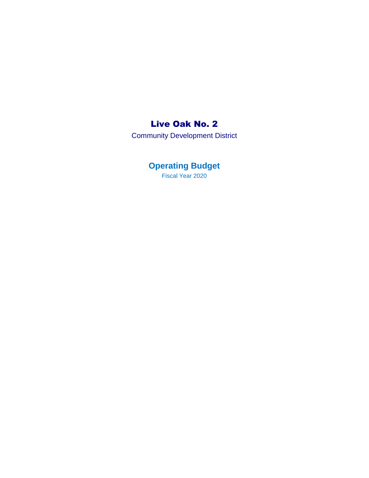## Live Oak No. 2

Community Development District

**Operating Budget**  Fiscal Year 2020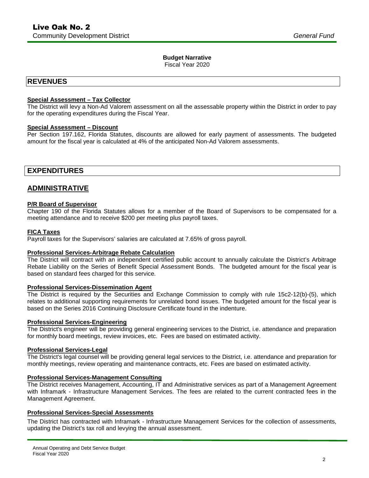#### **Budget Narrative**

Fiscal Year 2020

## **REVENUES**

#### **Special Assessment – Tax Collector**

The District will levy a Non-Ad Valorem assessment on all the assessable property within the District in order to pay for the operating expenditures during the Fiscal Year.

#### **Special Assessment – Discount**

Per Section 197.162, Florida Statutes, discounts are allowed for early payment of assessments. The budgeted amount for the fiscal year is calculated at 4% of the anticipated Non-Ad Valorem assessments.

## **EXPENDITURES**

## **ADMINISTRATIVE**

#### **P/R Board of Supervisor**

Chapter 190 of the Florida Statutes allows for a member of the Board of Supervisors to be compensated for a meeting attendance and to receive \$200 per meeting plus payroll taxes.

#### **FICA Taxes**

Payroll taxes for the Supervisors' salaries are calculated at 7.65% of gross payroll.

#### **Professional Services-Arbitrage Rebate Calculation**

The District will contract with an independent certified public account to annually calculate the District's Arbitrage Rebate Liability on the Series of Benefit Special Assessment Bonds. The budgeted amount for the fiscal year is based on standard fees charged for this service.

#### **Professional Services-Dissemination Agent**

The District is required by the Securities and Exchange Commission to comply with rule 15c2-12(b)-(5), which relates to additional supporting requirements for unrelated bond issues. The budgeted amount for the fiscal year is based on the Series 2016 Continuing Disclosure Certificate found in the indenture.

#### **Professional Services-Engineering**

The District's engineer will be providing general engineering services to the District, i.e. attendance and preparation for monthly board meetings, review invoices, etc. Fees are based on estimated activity.

#### **Professional Services-Legal**

The District's legal counsel will be providing general legal services to the District, i.e. attendance and preparation for monthly meetings, review operating and maintenance contracts, etc. Fees are based on estimated activity.

#### **Professional Services-Management Consulting**

The District receives Management, Accounting, IT and Administrative services as part of a Management Agreement with Inframark - Infrastructure Management Services. The fees are related to the current contracted fees in the Management Agreement.

#### **Professional Services-Special Assessments**

The District has contracted with Inframark - Infrastructure Management Services for the collection of assessments, updating the District's tax roll and levying the annual assessment.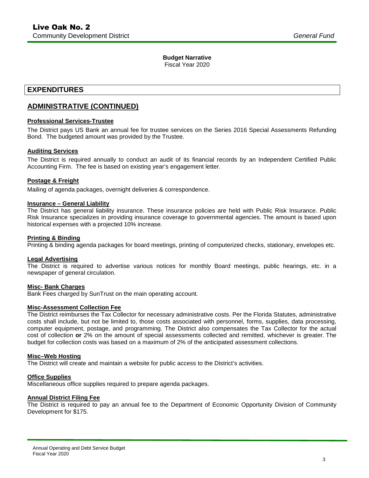### **Budget Narrative**

Fiscal Year 2020

## **EXPENDITURES**

## **ADMINISTRATIVE (CONTINUED)**

#### **Professional Services-Trustee**

The District pays US Bank an annual fee for trustee services on the Series 2016 Special Assessments Refunding Bond. The budgeted amount was provided by the Trustee.

#### **Auditing Services**

The District is required annually to conduct an audit of its financial records by an Independent Certified Public Accounting Firm. The fee is based on existing year's engagement letter.

#### **Postage & Freight**

Mailing of agenda packages, overnight deliveries & correspondence.

#### **Insurance – General Liability**

The District has general liability insurance. These insurance policies are held with Public Risk Insurance. Public Risk Insurance specializes in providing insurance coverage to governmental agencies. The amount is based upon historical expenses with a projected 10% increase.

#### **Printing & Binding**

Printing & binding agenda packages for board meetings, printing of computerized checks, stationary, envelopes etc.

#### **Legal Advertising**

The District is required to advertise various notices for monthly Board meetings, public hearings, etc. in a newspaper of general circulation.

#### **Misc- Bank Charges**

Bank Fees charged by SunTrust on the main operating account.

#### **Misc-Assessment Collection Fee**

The District reimburses the Tax Collector for necessary administrative costs. Per the Florida Statutes, administrative costs shall include, but not be limited to, those costs associated with personnel, forms, supplies, data processing, computer equipment, postage, and programming. The District also compensates the Tax Collector for the actual cost of collection **or** 2% on the amount of special assessments collected and remitted, whichever is greater. The budget for collection costs was based on a maximum of 2% of the anticipated assessment collections.

#### **Misc–Web Hosting**

The District will create and maintain a website for public access to the District's activities.

#### **Office Supplies**

Miscellaneous office supplies required to prepare agenda packages.

#### **Annual District Filing Fee**

The District is required to pay an annual fee to the Department of Economic Opportunity Division of Community Development for \$175.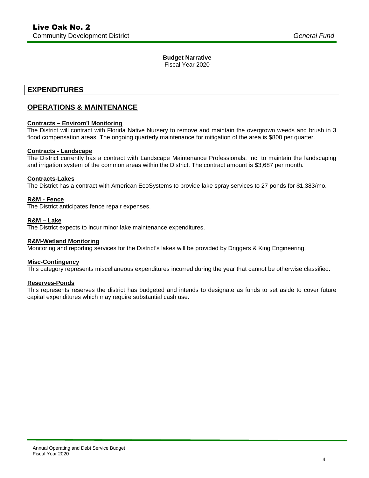### **Budget Narrative**

Fiscal Year 2020

## **EXPENDITURES**

## **OPERATIONS & MAINTENANCE**

#### **Contracts – Envirom'l Monitoring**

The District will contract with Florida Native Nursery to remove and maintain the overgrown weeds and brush in 3 flood compensation areas. The ongoing quarterly maintenance for mitigation of the area is \$800 per quarter.

#### **Contracts - Landscape**

The District currently has a contract with Landscape Maintenance Professionals, Inc. to maintain the landscaping and irrigation system of the common areas within the District. The contract amount is \$3,687 per month.

#### **Contracts-Lakes**

The District has a contract with American EcoSystems to provide lake spray services to 27 ponds for \$1,383/mo.

#### **R&M - Fence**

The District anticipates fence repair expenses.

#### **R&M – Lake**

The District expects to incur minor lake maintenance expenditures.

#### **R&M-Wetland Monitoring**

Monitoring and reporting services for the District's lakes will be provided by Driggers & King Engineering.

#### **Misc-Contingency**

This category represents miscellaneous expenditures incurred during the year that cannot be otherwise classified.

#### **Reserves-Ponds**

This represents reserves the district has budgeted and intends to designate as funds to set aside to cover future capital expenditures which may require substantial cash use.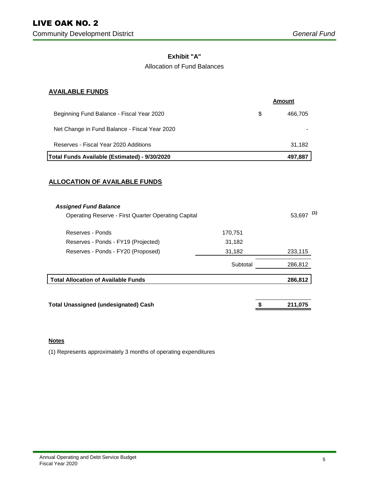### **Exhibit "A"**

### Allocation of Fund Balances

### **AVAILABLE FUNDS**

|                                                            |          | Amount |              |
|------------------------------------------------------------|----------|--------|--------------|
| Beginning Fund Balance - Fiscal Year 2020                  |          | \$     | 466,705      |
| Net Change in Fund Balance - Fiscal Year 2020              |          |        |              |
| Reserves - Fiscal Year 2020 Additions                      |          |        | 31,182       |
| Total Funds Available (Estimated) - 9/30/2020              |          |        | 497,887      |
| <b>ALLOCATION OF AVAILABLE FUNDS</b>                       |          |        |              |
| <b>Assigned Fund Balance</b>                               |          |        |              |
| <b>Operating Reserve - First Quarter Operating Capital</b> |          |        | $53,697$ (1) |
| Reserves - Ponds                                           | 170,751  |        |              |
| Reserves - Ponds - FY19 (Projected)                        | 31,182   |        |              |
| Reserves - Ponds - FY20 (Proposed)                         | 31,182   |        | 233,115      |
|                                                            | Subtotal |        | 286,812      |
| <b>Total Allocation of Available Funds</b>                 |          |        | 286,812      |
| <b>Total Unassigned (undesignated) Cash</b>                |          |        | 211,075      |
|                                                            |          |        |              |

#### **Notes**

(1) Represents approximately 3 months of operating expenditures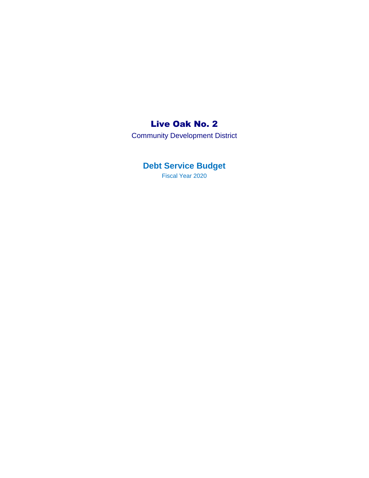## Live Oak No. 2

Community Development District

## **Debt Service Budget**

Fiscal Year 2020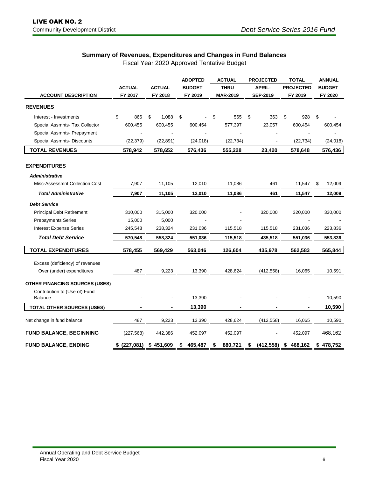## **Summary of Revenues, Expenditures and Changes in Fund Balances**

Fiscal Year 2020 Approved Tentative Budget

|                                                 |                                |             | <b>ADOPTED</b>               | <b>ACTUAL</b>   | <b>PROJECTED</b> | <b>TOTAL</b>     | <b>ANNUAL</b> |  |
|-------------------------------------------------|--------------------------------|-------------|------------------------------|-----------------|------------------|------------------|---------------|--|
|                                                 | <b>ACTUAL</b><br><b>ACTUAL</b> |             | <b>THRU</b><br><b>BUDGET</b> |                 | <b>APRIL-</b>    | <b>PROJECTED</b> | <b>BUDGET</b> |  |
| <b>ACCOUNT DESCRIPTION</b>                      | FY 2017                        | FY 2018     | FY 2019                      | <b>MAR-2019</b> | <b>SEP-2019</b>  | FY 2019          |               |  |
| <b>REVENUES</b>                                 |                                |             |                              |                 |                  |                  |               |  |
| Interest - Investments                          | \$<br>866                      | \$<br>1,088 | \$                           | \$<br>565       | \$<br>363        | \$<br>928        | \$            |  |
| Special Assmnts- Tax Collector                  | 600,455                        | 600,455     | 600,454                      | 577,397         | 23,057           | 600,454          | 600,454       |  |
| Special Assmnts- Prepayment                     |                                |             |                              |                 |                  |                  |               |  |
| <b>Special Assmnts- Discounts</b>               | (22, 379)                      | (22, 891)   | (24, 018)                    | (22, 734)       |                  | (22, 734)        | (24, 018)     |  |
| <b>TOTAL REVENUES</b>                           | 578,942                        | 578,652     | 576,436                      | 555,228         | 23,420           | 578,648          | 576,436       |  |
|                                                 |                                |             |                              |                 |                  |                  |               |  |
| <b>EXPENDITURES</b>                             |                                |             |                              |                 |                  |                  |               |  |
| <b>Administrative</b>                           |                                |             |                              |                 |                  |                  |               |  |
| Misc-Assessmnt Collection Cost                  | 7,907                          | 11,105      | 12,010                       | 11,086          | 461              | 11,547           | 12,009<br>\$  |  |
| <b>Total Administrative</b>                     | 7,907                          | 11,105      | 12,010                       | 11,086          | 461              | 11,547           | 12,009        |  |
| <b>Debt Service</b>                             |                                |             |                              |                 |                  |                  |               |  |
| <b>Principal Debt Retirement</b>                | 310,000                        | 315,000     | 320,000                      |                 | 320,000          | 320,000          | 330,000       |  |
| <b>Prepayments Series</b>                       | 15,000                         | 5,000       |                              |                 |                  |                  |               |  |
| <b>Interest Expense Series</b>                  | 245,548                        | 238,324     | 231,036                      | 115,518         | 115,518          | 231,036          | 223,836       |  |
| <b>Total Debt Service</b>                       | 570,548                        | 558,324     | 551,036                      | 115,518         | 435,518          | 551,036          | 553,836       |  |
| <b>TOTAL EXPENDITURES</b>                       | 578,455                        | 569,429     | 563,046                      | 126,604         | 435,978          | 562,583          | 565,844       |  |
| Excess (deficiency) of revenues                 |                                |             |                              |                 |                  |                  |               |  |
| Over (under) expenditures                       | 487                            | 9,223       | 13,390                       | 428,624         | (412, 558)       | 16,065           | 10,591        |  |
|                                                 |                                |             |                              |                 |                  |                  |               |  |
| <b>OTHER FINANCING SOURCES (USES)</b>           |                                |             |                              |                 |                  |                  |               |  |
| Contribution to (Use of) Fund<br><b>Balance</b> |                                |             | 13,390                       |                 |                  |                  | 10,590        |  |
| <b>TOTAL OTHER SOURCES (USES)</b>               | $\blacksquare$                 | ۰           | 13,390                       | $\blacksquare$  |                  | $\blacksquare$   | 10,590        |  |
| Net change in fund balance                      | 487                            | 9,223       | 13,390                       | 428,624         | (412, 558)       | 16,065           | 10,590        |  |
| <b>FUND BALANCE, BEGINNING</b>                  | (227, 568)                     | 442,386     | 452,097                      | 452,097         |                  | 452,097          | 468,162       |  |
| <b>FUND BALANCE, ENDING</b>                     | \$ (227,081)                   | \$451,609   | 465,487<br>S                 | 880,721<br>\$   | (412, 558)<br>\$ | 468,162<br>\$    | \$478,752     |  |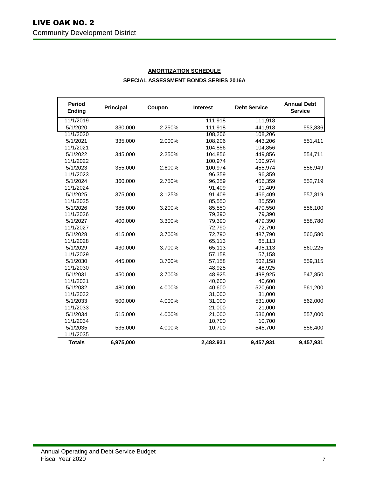| <b>Period</b><br><b>Ending</b> | <b>Principal</b> | Coupon | <b>Interest</b> | <b>Debt Service</b> | <b>Annual Debt</b><br><b>Service</b> |
|--------------------------------|------------------|--------|-----------------|---------------------|--------------------------------------|
| 11/1/2019                      |                  |        | 111,918         | 111,918             |                                      |
| 5/1/2020                       | 330,000          | 2.250% | 111,918         | 441,918             | 553,836                              |
| 11/1/2020                      |                  |        | 108,206         | 108,206             |                                      |
| 5/1/2021                       | 335,000          | 2.000% | 108,206         | 443,206             | 551,411                              |
| 11/1/2021                      |                  |        | 104,856         | 104,856             |                                      |
| 5/1/2022                       | 345,000          | 2.250% | 104,856         | 449,856             | 554,711                              |
| 11/1/2022                      |                  |        | 100,974         | 100,974             |                                      |
| 5/1/2023                       | 355,000          | 2.600% | 100,974         | 455,974             | 556,949                              |
| 11/1/2023                      |                  |        | 96,359          | 96,359              |                                      |
| 5/1/2024                       | 360,000          | 2.750% | 96,359          | 456,359             | 552,719                              |
| 11/1/2024                      |                  |        | 91,409          | 91,409              |                                      |
| 5/1/2025                       | 375,000          | 3.125% | 91,409          | 466,409             | 557,819                              |
| 11/1/2025                      |                  |        | 85,550          | 85,550              |                                      |
| 5/1/2026                       | 385,000          | 3.200% | 85,550          | 470,550             | 556,100                              |
| 11/1/2026                      |                  |        | 79,390          | 79,390              |                                      |
| 5/1/2027                       | 400,000          | 3.300% | 79,390          | 479,390             | 558,780                              |
| 11/1/2027                      |                  |        | 72,790          | 72,790              |                                      |
| 5/1/2028                       | 415,000          | 3.700% | 72,790          | 487,790             | 560,580                              |
| 11/1/2028                      |                  |        | 65,113          | 65,113              |                                      |
| 5/1/2029                       | 430,000          | 3.700% | 65,113          | 495,113             | 560,225                              |
| 11/1/2029                      |                  |        | 57,158          | 57,158              |                                      |
| 5/1/2030                       | 445,000          | 3.700% | 57,158          | 502,158             | 559,315                              |
| 11/1/2030                      |                  |        | 48,925          | 48.925              |                                      |
| 5/1/2031                       | 450,000          | 3.700% | 48,925          | 498,925             | 547,850                              |
| 11/1/2031                      |                  |        | 40,600          | 40,600              |                                      |
| 5/1/2032                       | 480,000          | 4.000% | 40,600          | 520,600             | 561,200                              |
| 11/1/2032                      |                  |        | 31,000          | 31,000              |                                      |
| 5/1/2033                       | 500,000          | 4.000% | 31,000          | 531,000             | 562,000                              |
| 11/1/2033                      |                  |        | 21,000          | 21,000              |                                      |
| 5/1/2034                       | 515,000          | 4.000% | 21,000          | 536,000             | 557,000                              |
| 11/1/2034                      |                  |        | 10,700          | 10,700              |                                      |
| 5/1/2035                       | 535,000          | 4.000% | 10,700          | 545,700             | 556,400                              |
| 11/1/2035                      |                  |        |                 |                     |                                      |
| <b>Totals</b>                  | 6,975,000        |        | 2,482,931       | 9,457,931           | 9,457,931                            |

## **AMORTIZATION SCHEDULE SPECIAL ASSESSMENT BONDS SERIES 2016A**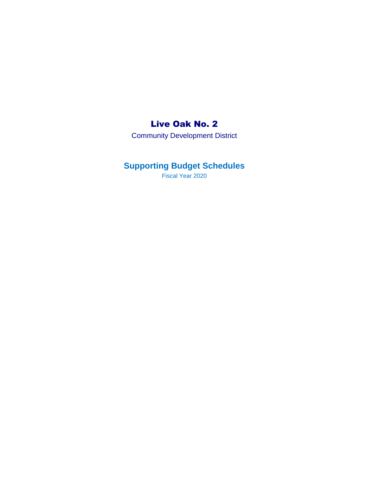## Live Oak No. 2

Community Development District

## **Supporting Budget Schedules**

Fiscal Year 2020